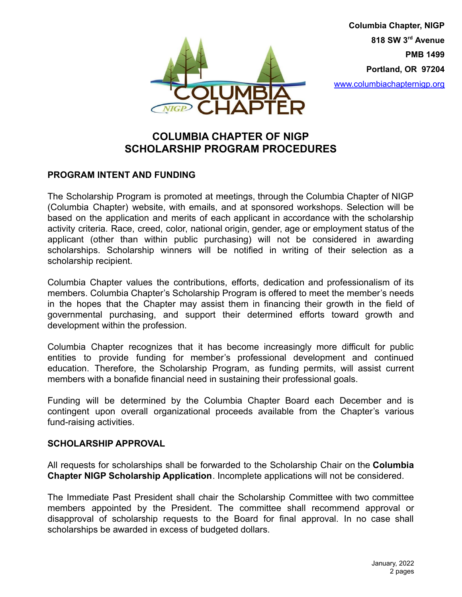

**Columbia Chapter, NIGP 818 SW 3 rd Avenue PMB 1499 Portland, OR 97204** [www.columbiachapternigp.org](http://www.columbiachapternigp.org)

# **COLUMBIA CHAPTER OF NIGP SCHOLARSHIP PROGRAM PROCEDURES**

### **PROGRAM INTENT AND FUNDING**

The Scholarship Program is promoted at meetings, through the Columbia Chapter of NIGP (Columbia Chapter) website, with emails, and at sponsored workshops. Selection will be based on the application and merits of each applicant in accordance with the scholarship activity criteria. Race, creed, color, national origin, gender, age or employment status of the applicant (other than within public purchasing) will not be considered in awarding scholarships. Scholarship winners will be notified in writing of their selection as a scholarship recipient.

Columbia Chapter values the contributions, efforts, dedication and professionalism of its members. Columbia Chapter's Scholarship Program is offered to meet the member's needs in the hopes that the Chapter may assist them in financing their growth in the field of governmental purchasing, and support their determined efforts toward growth and development within the profession.

Columbia Chapter recognizes that it has become increasingly more difficult for public entities to provide funding for member's professional development and continued education. Therefore, the Scholarship Program, as funding permits, will assist current members with a bonafide financial need in sustaining their professional goals.

Funding will be determined by the Columbia Chapter Board each December and is contingent upon overall organizational proceeds available from the Chapter's various fund-raising activities.

### **SCHOLARSHIP APPROVAL**

All requests for scholarships shall be forwarded to the Scholarship Chair on the **Columbia Chapter NIGP Scholarship Application**. Incomplete applications will not be considered.

The Immediate Past President shall chair the Scholarship Committee with two committee members appointed by the President. The committee shall recommend approval or disapproval of scholarship requests to the Board for final approval. In no case shall scholarships be awarded in excess of budgeted dollars.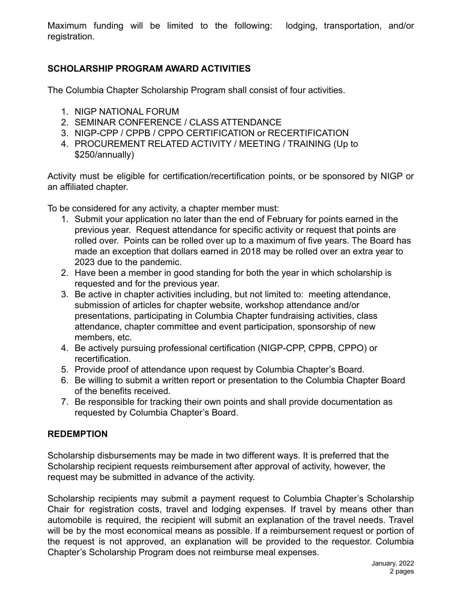Maximum funding will be limited to the following: lodging, transportation, and/or registration.

## **SCHOLARSHIP PROGRAM AWARD ACTIVITIES**

The Columbia Chapter Scholarship Program shall consist of four activities.

- 1. NIGP NATIONAL FORUM
- 2. SEMINAR CONFERENCE / CLASS ATTENDANCE
- 3. NIGP-CPP / CPPB / CPPO CERTIFICATION or RECERTIFICATION
- 4. PROCUREMENT RELATED ACTIVITY / MEETING / TRAINING (Up to \$250/annually)

Activity must be eligible for certification/recertification points, or be sponsored by NIGP or an affiliated chapter.

To be considered for any activity, a chapter member must:

- 1. Submit your application no later than the end of February for points earned in the previous year. Request attendance for specific activity or request that points are rolled over. Points can be rolled over up to a maximum of five years. The Board has made an exception that dollars earned in 2018 may be rolled over an extra year to 2023 due to the pandemic.
- 2. Have been a member in good standing for both the year in which scholarship is requested and for the previous year.
- 3. Be active in chapter activities including, but not limited to: meeting attendance, submission of articles for chapter website, workshop attendance and/or presentations, participating in Columbia Chapter fundraising activities, class attendance, chapter committee and event participation, sponsorship of new members, etc.
- 4. Be actively pursuing professional certification (NIGP-CPP, CPPB, CPPO) or recertification.
- 5. Provide proof of attendance upon request by Columbia Chapter's Board.
- 6. Be willing to submit a written report or presentation to the Columbia Chapter Board of the benefits received.
- 7. Be responsible for tracking their own points and shall provide documentation as requested by Columbia Chapter's Board.

### **REDEMPTION**

Scholarship disbursements may be made in two different ways. It is preferred that the Scholarship recipient requests reimbursement after approval of activity, however, the request may be submitted in advance of the activity.

Scholarship recipients may submit a payment request to Columbia Chapter's Scholarship Chair for registration costs, travel and lodging expenses. If travel by means other than automobile is required, the recipient will submit an explanation of the travel needs. Travel will be by the most economical means as possible. If a reimbursement request or portion of the request is not approved, an explanation will be provided to the requestor. Columbia Chapter's Scholarship Program does not reimburse meal expenses.